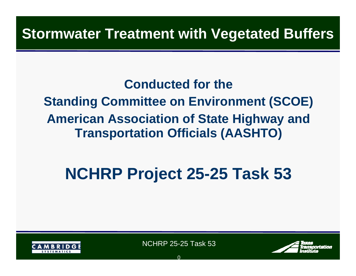#### **Stormwater Treatment with Vegetated Buffers**

#### **Conducted for the**

**Standing Committee on Environment (SCOE) American Association of State Highway and Transportation Officials (AASHTO)** 

# **NCHRP Project 25-25 Task 53**



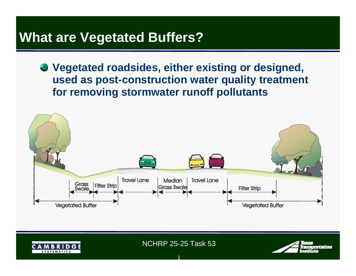#### **What are Vegetated Buffers?**

**Vegetated roadsides, either existing or designed, used as post-construction water quality treatment for removing stormwater runoff pollutants** 



NCHRP 25-25 Task 53

1

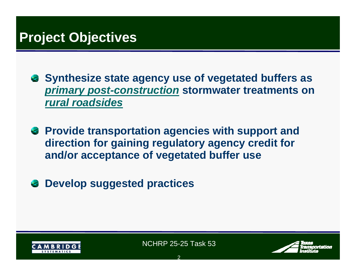#### **Project Objectives**

- **Synthesize state agency use of vegetated buffers as**  *primary post-construction* **stormwater treatments on**  *rural roadsides*
- **Provide transportation agencies with support and direction for gaining regulatory agency credit for and/or acceptance of vegetated buffer use**
- **Develop suggested practices**42



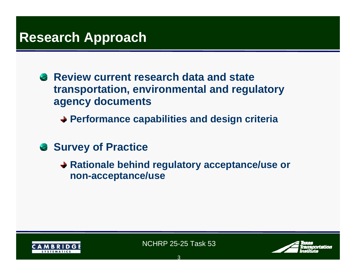#### **Research Approach**

**Review current research data and state transportation, environmental and regulatory agency documents**

**Performance capabilities and design criteria**

- **Survey of Practice** 
	- **→ Rationale behind regulatory acceptance/use or non-acceptance/use**



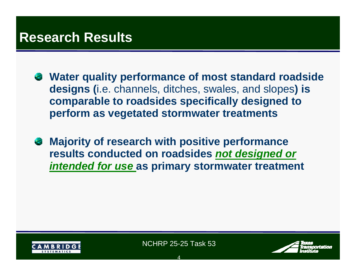#### **Research Results**

- **Water quality performance of most standard roadside designs (**i.e. channels, ditches, swales, and slopes**) is comparable to roadsides specifically designed to perform as vegetated stormwater treatments**
- **Majority of research with positive performance results conducted on roadsides** *not designed or intended for use* **as primary stormwater treatment**



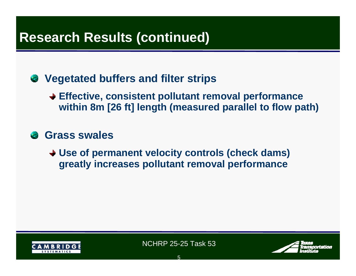#### **Research Results (continued)**

#### **Vegetated buffers and filter strips**

- **Effective, consistent pollutant removal performance within 8m [26 ft] length (measured parallel to flow path)**
- **Grass swales**
	- **Use of permanent velocity controls (check dams) greatly increases pollutant removal performance**



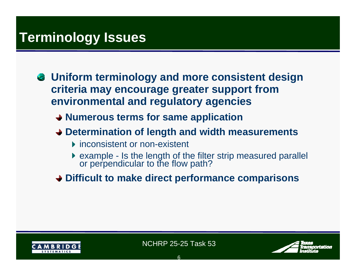#### **Terminology Issues**

- **Uniform terminology and more consistent design criteria may encourage greater support from environmental and regulatory agencies**
	- **Numerous terms for same application**
	- **Determination of length and width measurements**
		- **F** inconsistent or non-existent
		- example Is the length of the filter strip measured parallel or perpendicular to the flow path?
	- **Difficult to make direct performance comparisons**



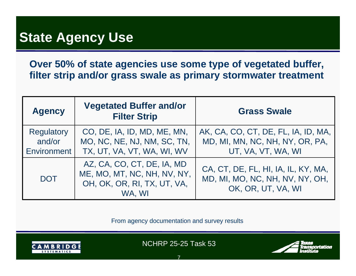#### **State Agency Use**

**Over 50% of state agencies use some type of vegetated buffer, filter strip and/or grass swale as primary stormwater treatment**

| <b>Agency</b>                                     | <b>Vegetated Buffer and/or</b><br><b>Filter Strip</b>                                              | <b>Grass Swale</b>                                                                           |
|---------------------------------------------------|----------------------------------------------------------------------------------------------------|----------------------------------------------------------------------------------------------|
| <b>Regulatory</b><br>and/or<br><b>Environment</b> | CO, DE, IA, ID, MD, ME, MN,<br>MO, NC, NE, NJ, NM, SC, TN,<br>TX, UT, VA, VT, WA, WI, WV           | AK, CA, CO, CT, DE, FL, IA, ID, MA,<br>MD, MI, MN, NC, NH, NY, OR, PA,<br>UT, VA, VT, WA, WI |
| <b>DOT</b>                                        | AZ, CA, CO, CT, DE, IA, MD<br>ME, MO, MT, NC, NH, NV, NY,<br>OH, OK, OR, RI, TX, UT, VA,<br>WA. WI | CA, CT, DE, FL, HI, IA, IL, KY, MA,<br>MD, MI, MO, NC, NH, NV, NY, OH,<br>OK, OR, UT, VA, WI |

From agency documentation and survey results



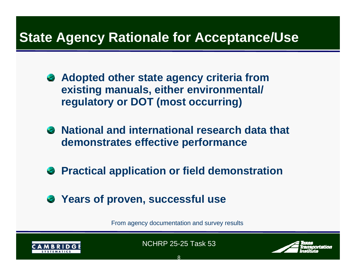#### **State Agency Rationale for Acceptance/Use**

- **Adopted other state agency criteria from existing manuals, either environmental/ regulatory or DOT (most occurring)**
- **National and international research data that demonstrates effective performance**
- **Practical application or field demonstration**
- **Years of proven, successful use**

From agency documentation and survey results



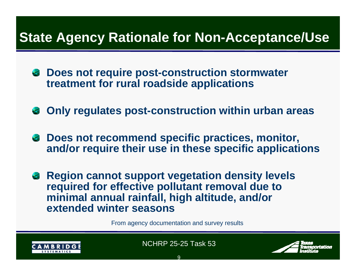#### **State Agency Rationale for Non-Acceptance/Use**

- **Does not require post-construction stormwater treatment for rural roadside applications**
- **Only regulates post-construction within urban areas**
- **Does not recommend specific practices, monitor, and/or require their use in these specific applications**
- **B** Region cannot support vegetation density levels **required for effective pollutant removal due to minimal annual rainfall, high altitude, and/or extended winter seasons**

From agency documentation and survey results



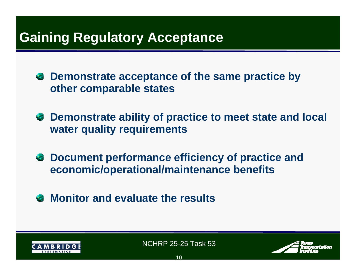#### **Gaining Regulatory Acceptance**

**Demonstrate acceptance of the same practice by other comparable states** 

- **Demonstrate ability of practice to meet state and local water quality requirements**
- **Document performance efficiency of practice and economic/operational/maintenance benefits**
- **Monitor and evaluate the results**



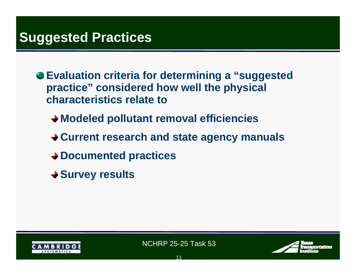#### **Suggested Practices**

- **Evaluation criteria for determining a "suggested practice" considered how well the physical characteristics relate to**
	- **Modeled pollutant removal efficiencies**
	- **Current research and state agency manuals**
	- **Documented practices**
	- **Survey results**



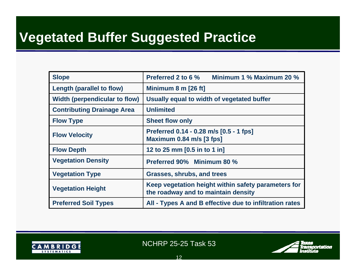## **Vegetated Buffer Suggested Practice**

| <b>Slope</b>                      | Preferred 2 to 6 %<br>Minimum 1 % Maximum 20 %                                             |
|-----------------------------------|--------------------------------------------------------------------------------------------|
| Length (parallel to flow)         | Minimum 8 m [26 ft]                                                                        |
| Width (perpendicular to flow)     | Usually equal to width of vegetated buffer                                                 |
| <b>Contributing Drainage Area</b> | <b>Unlimited</b>                                                                           |
| <b>Flow Type</b>                  | <b>Sheet flow only</b>                                                                     |
| <b>Flow Velocity</b>              | Preferred 0.14 - 0.28 m/s [0.5 - 1 fps]<br>Maximum 0.84 m/s [3 fps]                        |
| <b>Flow Depth</b>                 | 12 to 25 mm [0.5 in to 1 in]                                                               |
| <b>Vegetation Density</b>         | <b>Preferred 90% Minimum 80 %</b>                                                          |
| <b>Vegetation Type</b>            | <b>Grasses, shrubs, and trees</b>                                                          |
| <b>Vegetation Height</b>          | Keep vegetation height within safety parameters for<br>the roadway and to maintain density |
| <b>Preferred Soil Types</b>       | All - Types A and B effective due to infiltration rates                                    |



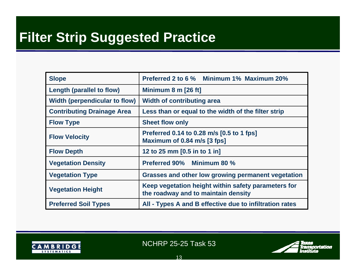## **Filter Strip Suggested Practice**

| <b>Slope</b>                         | Preferred 2 to 6 % Minimum 1% Maximum 20%                                                  |
|--------------------------------------|--------------------------------------------------------------------------------------------|
| Length (parallel to flow)            | Minimum 8 m [26 ft]                                                                        |
| <b>Width (perpendicular to flow)</b> | <b>Width of contributing area</b>                                                          |
| <b>Contributing Drainage Area</b>    | Less than or equal to the width of the filter strip                                        |
| <b>Flow Type</b>                     | <b>Sheet flow only</b>                                                                     |
| <b>Flow Velocity</b>                 | Preferred 0.14 to 0.28 m/s [0.5 to 1 fps]<br>Maximum of 0.84 m/s [3 fps]                   |
| <b>Flow Depth</b>                    | 12 to 25 mm [0.5 in to 1 in]                                                               |
| <b>Vegetation Density</b>            | <b>Preferred 90% Minimum 80 %</b>                                                          |
| <b>Vegetation Type</b>               | <b>Grasses and other low growing permanent vegetation</b>                                  |
| <b>Vegetation Height</b>             | Keep vegetation height within safety parameters for<br>the roadway and to maintain density |
| <b>Preferred Soil Types</b>          | All - Types A and B effective due to infiltration rates                                    |



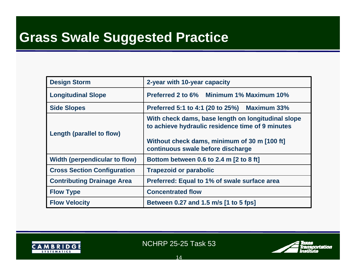## **Grass Swale Suggested Practice**

| <b>Design Storm</b>                  | 2-year with 10-year capacity                                                                                                                                                                |
|--------------------------------------|---------------------------------------------------------------------------------------------------------------------------------------------------------------------------------------------|
| <b>Longitudinal Slope</b>            | Preferred 2 to 6% Minimum 1% Maximum 10%                                                                                                                                                    |
| <b>Side Slopes</b>                   | Preferred 5:1 to 4:1 (20 to 25%) Maximum 33%                                                                                                                                                |
| <b>Length (parallel to flow)</b>     | With check dams, base length on longitudinal slope<br>to achieve hydraulic residence time of 9 minutes<br>Without check dams, minimum of 30 m [100 ft]<br>continuous swale before discharge |
| <b>Width (perpendicular to flow)</b> | Bottom between 0.6 to 2.4 m [2 to 8 ft]                                                                                                                                                     |
| <b>Cross Section Configuration</b>   | <b>Trapezoid or parabolic</b>                                                                                                                                                               |
| <b>Contributing Drainage Area</b>    | Preferred: Equal to 1% of swale surface area                                                                                                                                                |
| <b>Flow Type</b>                     | <b>Concentrated flow</b>                                                                                                                                                                    |
| <b>Flow Velocity</b>                 | Between 0.27 and 1.5 m/s [1 to 5 fps]                                                                                                                                                       |



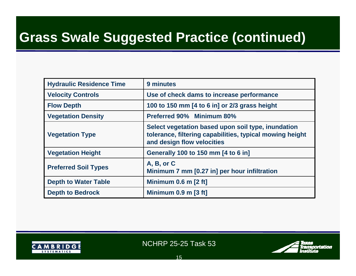#### **Grass Swale Suggested Practice (continued)**

| <b>Hydraulic Residence Time</b> | 9 minutes                                                                                                                                    |
|---------------------------------|----------------------------------------------------------------------------------------------------------------------------------------------|
| <b>Velocity Controls</b>        | Use of check dams to increase performance                                                                                                    |
| <b>Flow Depth</b>               | 100 to 150 mm [4 to 6 in] or 2/3 grass height                                                                                                |
| <b>Vegetation Density</b>       | <b>Preferred 90% Minimum 80%</b>                                                                                                             |
| <b>Vegetation Type</b>          | Select vegetation based upon soil type, inundation<br>tolerance, filtering capabilities, typical mowing height<br>and design flow velocities |
| <b>Vegetation Height</b>        | Generally 100 to 150 mm [4 to 6 in]                                                                                                          |
| <b>Preferred Soil Types</b>     | A, B, or C<br>Minimum 7 mm [0.27 in] per hour infiltration                                                                                   |
| <b>Depth to Water Table</b>     | Minimum $0.6$ m $[2 \text{ ft}]$                                                                                                             |
| <b>Depth to Bedrock</b>         | Minimum $0.9$ m $[3$ ft]                                                                                                                     |